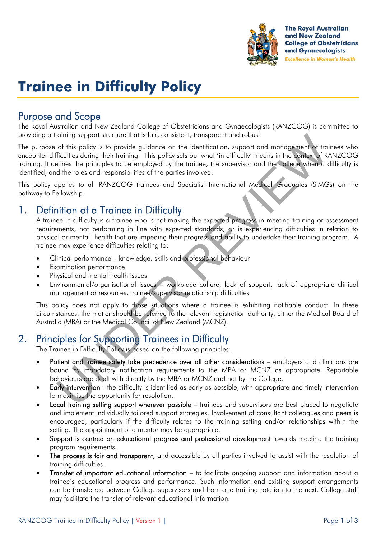

**The Royal Australian** and New Zealand **College of Obstetricians** and Gynaecologists **Excellence in Women's Health** 

# **Trainee in Difficulty Policy**

## Purpose and Scope

The Royal Australian and New Zealand College of Obstetricians and Gynaecologists (RANZCOG) is committed to providing a training support structure that is fair, consistent, transparent and robust.

raining support structure that is tair, consistent, transparent and robust.<br>
So this policy is to provide guidance on the identification, support and management of trainees<br>
finalities the principles to be employed by the The purpose of this policy is to provide guidance on the identification, support and management of trainees who encounter difficulties during their training. This policy sets out what 'in difficulty' means in the context of RANZCOG training. It defines the principles to be employed by the trainee, the supervisor and the college when a difficulty is identified, and the roles and responsibilities of the parties involved.

This policy applies to all RANZCOG trainees and Specialist International Medical Graduates (SIMGs) on the pathway to Fellowship.

# 1. Definition of a Trainee in Difficulty

A trainee in difficulty is a trainee who is not making the expected progress in meeting training or assessment requirements, not performing in line with expected standards, or is experiencing difficulties in relation to physical or mental health that are impeding their progress and ability to undertake their training program. A trainee may experience difficulties relating to:

- Clinical performance knowledge, skills and professional behaviour
- **•** Examination performance
- Physical and mental health issues
- Environmental/organisational issues workplace culture, lack of support, lack of appropriate clinical management or resources, trainee/supervisor relationship difficulties

This policy does not apply to those situations where a trainee is exhibiting notifiable conduct. In these circumstances, the matter should be referred to the relevant registration authority, either the Medical Board of Australia (MBA) or the Medical Council of New Zealand (MCNZ).

# 2. Principles for Supporting Trainees in Difficulty

The Trainee in Difficulty Policy is based on the following principles:

- Patient and trainee safety take precedence over all other considerations employers and clinicians are bound by mandatory notification requirements to the MBA or MCNZ as appropriate. Reportable behaviours are dealt with directly by the MBA or MCNZ and not by the College.
- Early intervention the difficulty is identified as early as possible, with appropriate and timely intervention to maximise the opportunity for resolution.
- Local training setting support wherever possible trainees and supervisors are best placed to negotiate and implement individually tailored support strategies. Involvement of consultant colleagues and peers is encouraged, particularly if the difficulty relates to the training setting and/or relationships within the setting. The appointment of a mentor may be appropriate.
- Support is centred on educational progress and professional development towards meeting the training program requirements.
- The process is fair and transparent, and accessible by all parties involved to assist with the resolution of training difficulties.
- Transfer of important educational information to facilitate ongoing support and information about a trainee's educational progress and performance. Such information and existing support arrangements can be transferred between College supervisors and from one training rotation to the next. College staff may facilitate the transfer of relevant educational information.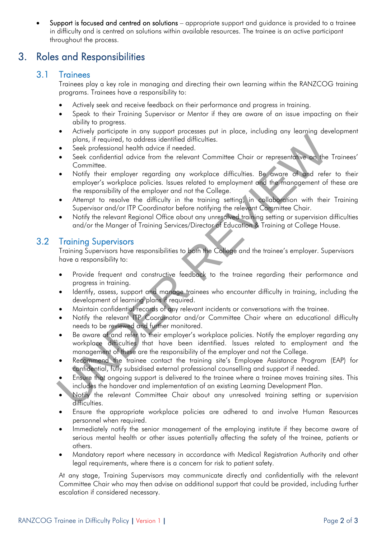Support is focused and centred on solutions – appropriate support and guidance is provided to a trainee in difficulty and is centred on solutions within available resources. The trainee is an active participant throughout the process.

## 3. Roles and Responsibilities

#### 3.1 Trainees

Trainees play a key role in managing and directing their own learning within the RANZCOG training programs. Trainees have a responsibility to:

- Actively seek and receive feedback on their performance and progress in training.
- Speak to their Training Supervisor or Mentor if they are aware of an issue impacting on their ability to progress.
- Actively participate in any support processes put in place, including any learning development plans, if required, to address identified difficulties.
- Seek professional health advice if needed.
- Seek confidential advice from the relevant Committee Chair or representative on the Trainees' Committee.
- Notify their employer regarding any workplace difficulties. Be aware of and refer to their employer's workplace policies. Issues related to employment and the management of these are the responsibility of the employer and not the College.
- Attempt to resolve the difficulty in the training setting, in collaboration with their Training Supervisor and/or ITP Coordinator before notifying the relevant Committee Chair.
- Notify the relevant Regional Office about any unresolved training setting or supervision difficulties and/or the Manger of Training Services/Director of Education & Training at College House.

#### 3.2 Training Supervisors

Training Supervisors have responsibilities to both the College and the trainee's employer. Supervisors have a responsibility to:

- Provide frequent and constructive feedback to the trainee regarding their performance and progress in training.
- Identify, assess, support and manage trainees who encounter difficulty in training, including the development of learning plans if required.
- Maintain confidential records of any relevant incidents or conversations with the trainee.
- Notify the relevant ITP Coordinator and/or Committee Chair where an educational difficulty needs to be reviewed and further monitored.
- From the planet of the state of the state of the state of the state of the control of the state of the state of the proportional fellow is the method. In dialytime chain the proportion of the France Contribution of the Fra Be aware of and refer to their employer's workplace policies. Notify the employer regarding any workplace difficulties that have been identified. Issues related to employment and the management of these are the responsibility of the employer and not the College.
- Recommend the trainee contact the training site's Employee Assistance Program (EAP) for confidential, fully subsidised external professional counselling and support if needed.
- Ensure that ongoing support is delivered to the trainee where a trainee moves training sites. This includes the handover and implementation of an existing Learning Development Plan.
- Notify the relevant Committee Chair about any unresolved training setting or supervision difficulties.
- Ensure the appropriate workplace policies are adhered to and involve Human Resources personnel when required.
- Immediately notify the senior management of the employing institute if they become aware of serious mental health or other issues potentially affecting the safety of the trainee, patients or others.
- Mandatory report where necessary in accordance with Medical Registration Authority and other legal requirements, where there is a concern for risk to patient safety.

At any stage, Training Supervisors may communicate directly and confidentially with the relevant Committee Chair who may then advise on additional support that could be provided, including further escalation if considered necessary.